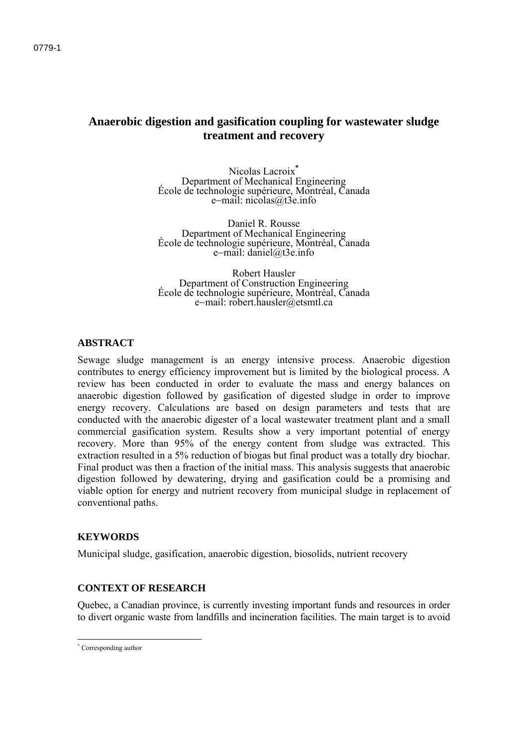# **Anaerobic digestion and gasification coupling for wastewater sludge treatment and recovery**

Nicolas Lacroix<sup>\*</sup><br>Department of Mechanical Engineering Department of Mechanical Engineering École de technologie supérieure, Montréal, Canada e-mail: nicolas@t3e.info

Daniel R. Rousse Department of Mechanical Engineering École de technologie supérieure, Montréal, Canada e-mail: daniel@t3e.info

Robert Hausler Department of Construction Engineering École de technologie supérieure, Montréal, Canada e-mail: robert.hausler@etsmtl.ca

## **ABSTRACT**

Sewage sludge management is an energy intensive process. Anaerobic digestion contributes to energy efficiency improvement but is limited by the biological process. A review has been conducted in order to evaluate the mass and energy balances on anaerobic digestion followed by gasification of digested sludge in order to improve energy recovery. Calculations are based on design parameters and tests that are conducted with the anaerobic digester of a local wastewater treatment plant and a small commercial gasification system. Results show a very important potential of energy recovery. More than 95% of the energy content from sludge was extracted. This extraction resulted in a 5% reduction of biogas but final product was a totally dry biochar. Final product was then a fraction of the initial mass. This analysis suggests that anaerobic digestion followed by dewatering, drying and gasification could be a promising and viable option for energy and nutrient recovery from municipal sludge in replacement of conventional paths.

### **KEYWORDS**

Municipal sludge, gasification, anaerobic digestion, biosolids, nutrient recovery

### **CONTEXT OF RESEARCH**

Quebec, a Canadian province, is currently investing important funds and resources in order to divert organic waste from landfills and incineration facilities. The main target is to avoid

 \* Corresponding author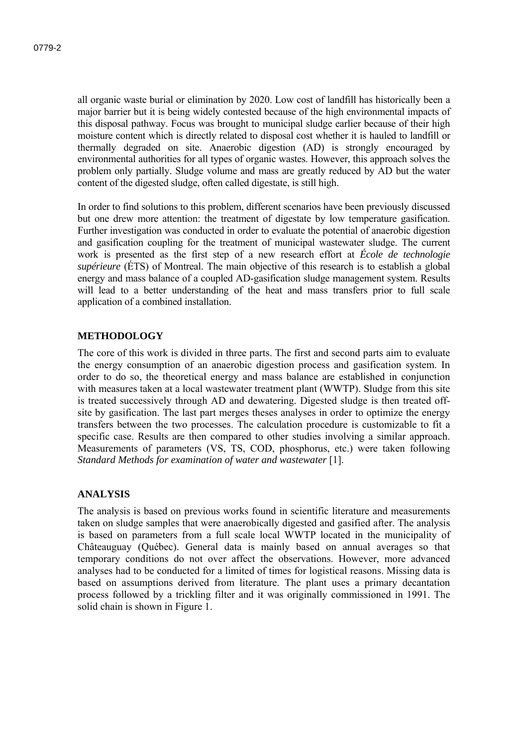all organic waste burial or elimination by 2020. Low cost of landfill has historically been a major barrier but it is being widely contested because of the high environmental impacts of this disposal pathway. Focus was brought to municipal sludge earlier because of their high moisture content which is directly related to disposal cost whether it is hauled to landfill or thermally degraded on site. Anaerobic digestion (AD) is strongly encouraged by environmental authorities for all types of organic wastes. However, this approach solves the problem only partially. Sludge volume and mass are greatly reduced by AD but the water content of the digested sludge, often called digestate, is still high.

In order to find solutions to this problem, different scenarios have been previously discussed but one drew more attention: the treatment of digestate by low temperature gasification. Further investigation was conducted in order to evaluate the potential of anaerobic digestion and gasification coupling for the treatment of municipal wastewater sludge. The current work is presented as the first step of a new research effort at *École de technologie supérieure* (ÉTS) of Montreal. The main objective of this research is to establish a global energy and mass balance of a coupled AD-gasification sludge management system. Results will lead to a better understanding of the heat and mass transfers prior to full scale application of a combined installation.

### **METHODOLOGY**

The core of this work is divided in three parts. The first and second parts aim to evaluate the energy consumption of an anaerobic digestion process and gasification system. In order to do so, the theoretical energy and mass balance are established in conjunction with measures taken at a local wastewater treatment plant (WWTP). Sludge from this site is treated successively through AD and dewatering. Digested sludge is then treated offsite by gasification. The last part merges theses analyses in order to optimize the energy transfers between the two processes. The calculation procedure is customizable to fit a specific case. Results are then compared to other studies involving a similar approach. Measurements of parameters (VS, TS, COD, phosphorus, etc.) were taken following *Standard Methods for examination of water and wastewater* [1].

## **ANALYSIS**

The analysis is based on previous works found in scientific literature and measurements taken on sludge samples that were anaerobically digested and gasified after. The analysis is based on parameters from a full scale local WWTP located in the municipality of Châteauguay (Québec). General data is mainly based on annual averages so that temporary conditions do not over affect the observations. However, more advanced analyses had to be conducted for a limited of times for logistical reasons. Missing data is based on assumptions derived from literature. The plant uses a primary decantation process followed by a trickling filter and it was originally commissioned in 1991. The solid chain is shown in Figure 1.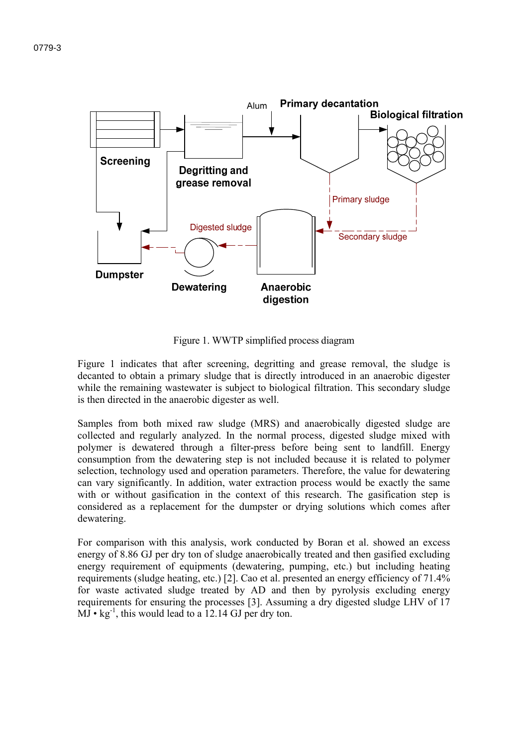

Figure 1. WWTP simplified process diagram

Figure 1 indicates that after screening, degritting and grease removal, the sludge is decanted to obtain a primary sludge that is directly introduced in an anaerobic digester while the remaining wastewater is subject to biological filtration. This secondary sludge is then directed in the anaerobic digester as well.

Samples from both mixed raw sludge (MRS) and anaerobically digested sludge are collected and regularly analyzed. In the normal process, digested sludge mixed with polymer is dewatered through a filter-press before being sent to landfill. Energy consumption from the dewatering step is not included because it is related to polymer selection, technology used and operation parameters. Therefore, the value for dewatering can vary significantly. In addition, water extraction process would be exactly the same with or without gasification in the context of this research. The gasification step is considered as a replacement for the dumpster or drying solutions which comes after dewatering.

For comparison with this analysis, work conducted by Boran et al. showed an excess energy of 8.86 GJ per dry ton of sludge anaerobically treated and then gasified excluding energy requirement of equipments (dewatering, pumping, etc.) but including heating requirements (sludge heating, etc.) [2]. Cao et al. presented an energy efficiency of 71.4% for waste activated sludge treated by AD and then by pyrolysis excluding energy requirements for ensuring the processes [3]. Assuming a dry digested sludge LHV of 17  $MJ \cdot kg^{-1}$ , this would lead to a 12.14 GJ per dry ton.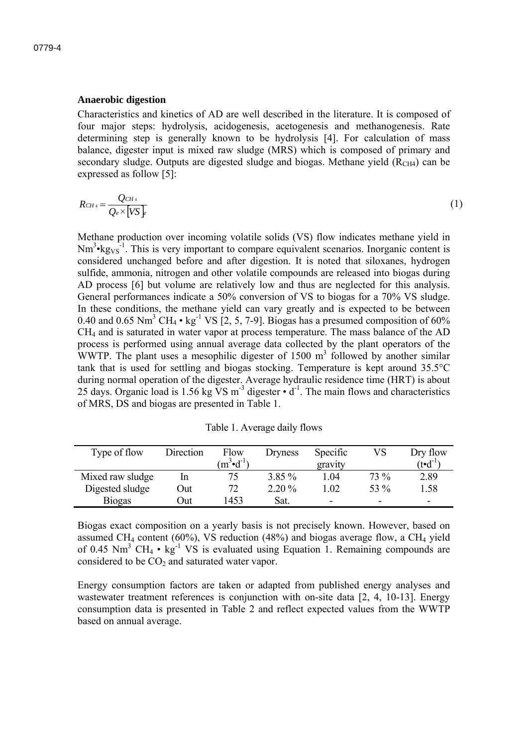#### **Anaerobic digestion**

Characteristics and kinetics of AD are well described in the literature. It is composed of four major steps: hydrolysis, acidogenesis, acetogenesis and methanogenesis. Rate determining step is generally known to be hydrolysis [4]. For calculation of mass balance, digester input is mixed raw sludge (MRS) which is composed of primary and secondary sludge. Outputs are digested sludge and biogas. Methane yield  $(R<sub>CH4</sub>)$  can be expressed as follow [5]:

$$
R_{CH4} = \frac{Q_{CH4}}{Q_e \times [VS]_F}
$$
 (1)

Methane production over incoming volatile solids (VS) flow indicates methane yield in  $Nm^3$ •kg<sub>VS</sub><sup>-1</sup>. This is very important to compare equivalent scenarios. Inorganic content is considered unchanged before and after digestion. It is noted that siloxanes, hydrogen sulfide, ammonia, nitrogen and other volatile compounds are released into biogas during AD process [6] but volume are relatively low and thus are neglected for this analysis. General performances indicate a 50% conversion of VS to biogas for a 70% VS sludge. In these conditions, the methane yield can vary greatly and is expected to be between 0.40 and 0.65 Nm<sup>3</sup> CH<sub>4</sub> • kg<sup>-1</sup> VS [2, 5, 7-9]. Biogas has a presumed composition of 60% CH4 and is saturated in water vapor at process temperature. The mass balance of the AD process is performed using annual average data collected by the plant operators of the WWTP. The plant uses a mesophilic digester of  $1500 \text{ m}^3$  followed by another similar tank that is used for settling and biogas stocking. Temperature is kept around 35.5°C during normal operation of the digester. Average hydraulic residence time (HRT) is about 25 days. Organic load is 1.56 kg VS  $m<sup>-3</sup>$  digester  $\cdot$  d<sup>-1</sup>. The main flows and characteristics of MRS, DS and biogas are presented in Table 1.

| Table 1. Average daily flows |  |
|------------------------------|--|
|                              |  |

| Type of flow     | Direction | Flow                 | Dryness  | Specific                 | VS                       | Dry flow     |
|------------------|-----------|----------------------|----------|--------------------------|--------------------------|--------------|
|                  |           | $(m^3 \cdot d^{-1})$ |          | gravity                  |                          | (t•d $^{-1}$ |
| Mixed raw sludge | In        | 75                   | $3.85\%$ | 1.04                     | 73 %                     | 2.89         |
| Digested sludge  | Out       | 72                   | $2.20\%$ | .02                      | 53 %                     | 1.58         |
| <b>Biogas</b>    | )ut       | 453                  | Sat.     | $\overline{\phantom{0}}$ | $\overline{\phantom{0}}$ | -            |

Biogas exact composition on a yearly basis is not precisely known. However, based on assumed CH<sub>4</sub> content (60%), VS reduction (48%) and biogas average flow, a CH<sub>4</sub> yield of 0.45 Nm<sup>3</sup> CH<sub>4</sub> • kg<sup>-1</sup> VS is evaluated using Equation 1. Remaining compounds are considered to be  $CO<sub>2</sub>$  and saturated water vapor.

Energy consumption factors are taken or adapted from published energy analyses and wastewater treatment references is conjunction with on-site data [2, 4, 10-13]. Energy consumption data is presented in Table 2 and reflect expected values from the WWTP based on annual average.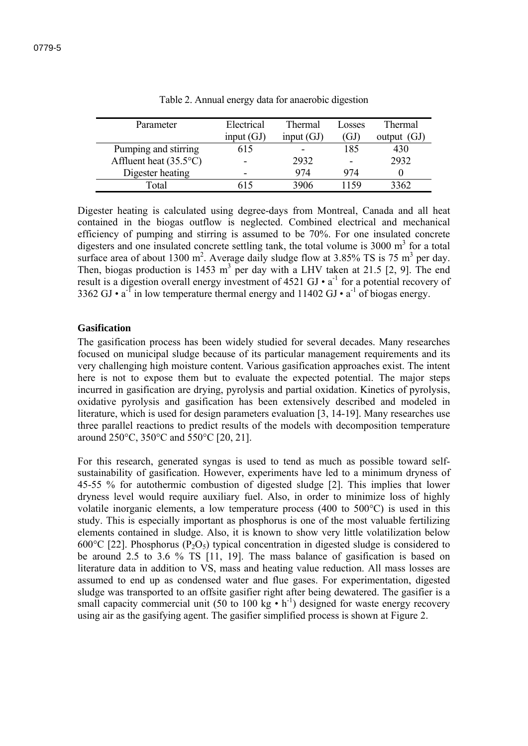| Parameter                       | Electrical   | Thermal      | Losses          | Thermal        |
|---------------------------------|--------------|--------------|-----------------|----------------|
|                                 | input $(GJ)$ | input $(GJ)$ | ΈJ              | (GJ)<br>output |
| Pumping and stirring            |              |              | 185             | 430            |
| Affluent heat $(35.5^{\circ}C)$ |              | 2932         | $\qquad \qquad$ | 2932           |
| Digester heating                |              | 974          | 974             |                |
| Total                           |              | 3906         | l 159           | 3362           |

Table 2. Annual energy data for anaerobic digestion

Digester heating is calculated using degree-days from Montreal, Canada and all heat contained in the biogas outflow is neglected. Combined electrical and mechanical efficiency of pumping and stirring is assumed to be 70%. For one insulated concrete digesters and one insulated concrete settling tank, the total volume is  $3000 \text{ m}^3$  for a total surface area of about 1300 m<sup>2</sup>. Average daily sludge flow at 3.85% TS is 75 m<sup>3</sup> per day. Then, biogas production is 1453 m<sup>3</sup> per day with a LHV taken at 21.5 [2, 9]. The end result is a digestion overall energy investment of  $4521 \text{ GJ} \cdot a^{-1}$  for a potential recovery of 3362 GJ •  $a^{-1}$  in low temperature thermal energy and 11402 GJ •  $a^{-1}$  of biogas energy.

### **Gasification**

The gasification process has been widely studied for several decades. Many researches focused on municipal sludge because of its particular management requirements and its very challenging high moisture content. Various gasification approaches exist. The intent here is not to expose them but to evaluate the expected potential. The major steps incurred in gasification are drying, pyrolysis and partial oxidation. Kinetics of pyrolysis, oxidative pyrolysis and gasification has been extensively described and modeled in literature, which is used for design parameters evaluation [3, 14-19]. Many researches use three parallel reactions to predict results of the models with decomposition temperature around 250°C, 350°C and 550°C [20, 21].

For this research, generated syngas is used to tend as much as possible toward selfsustainability of gasification. However, experiments have led to a minimum dryness of 45-55 % for autothermic combustion of digested sludge [2]. This implies that lower dryness level would require auxiliary fuel. Also, in order to minimize loss of highly volatile inorganic elements, a low temperature process (400 to 500°C) is used in this study. This is especially important as phosphorus is one of the most valuable fertilizing elements contained in sludge. Also, it is known to show very little volatilization below 600 $^{\circ}$ C [22]. Phosphorus (P<sub>2</sub>O<sub>5</sub>) typical concentration in digested sludge is considered to be around 2.5 to 3.6 % TS [11, 19]. The mass balance of gasification is based on literature data in addition to VS, mass and heating value reduction. All mass losses are assumed to end up as condensed water and flue gases. For experimentation, digested sludge was transported to an offsite gasifier right after being dewatered. The gasifier is a small capacity commercial unit (50 to 100 kg  $\cdot$  h<sup>-1</sup>) designed for waste energy recovery using air as the gasifying agent. The gasifier simplified process is shown at Figure 2.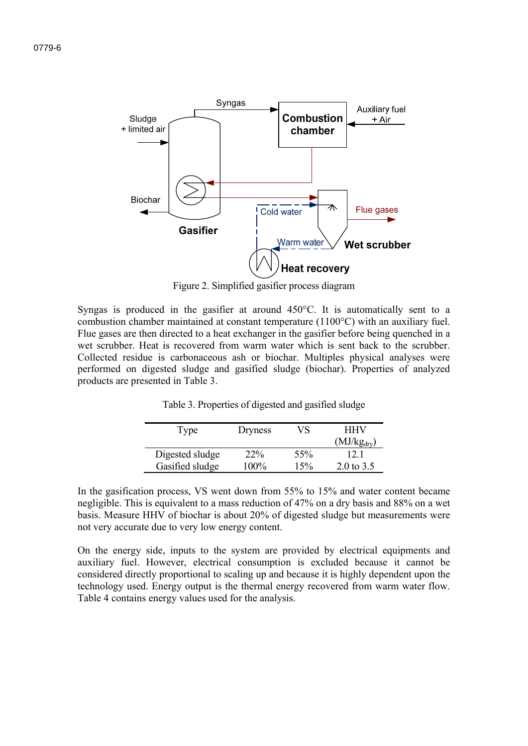

Figure 2. Simplified gasifier process diagram

Syngas is produced in the gasifier at around 450°C. It is automatically sent to a combustion chamber maintained at constant temperature (1100°C) with an auxiliary fuel. Flue gases are then directed to a heat exchanger in the gasifier before being quenched in a wet scrubber. Heat is recovered from warm water which is sent back to the scrubber. Collected residue is carbonaceous ash or biochar. Multiples physical analyses were performed on digested sludge and gasified sludge (biochar). Properties of analyzed products are presented in Table 3.

| Type            | Dryness    | VS  | <b>HHV</b>             |  |
|-----------------|------------|-----|------------------------|--|
|                 |            |     | $(MJ/kg_{\text{dry}})$ |  |
| Digested sludge | <b>22%</b> | 55% | 12 1                   |  |
| Gasified sludge | $100\%$    | 15% | 2.0 to $3.5$           |  |

Table 3. Properties of digested and gasified sludge

In the gasification process, VS went down from 55% to 15% and water content became negligible. This is equivalent to a mass reduction of 47% on a dry basis and 88% on a wet basis. Measure HHV of biochar is about 20% of digested sludge but measurements were not very accurate due to very low energy content.

On the energy side, inputs to the system are provided by electrical equipments and auxiliary fuel. However, electrical consumption is excluded because it cannot be considered directly proportional to scaling up and because it is highly dependent upon the technology used. Energy output is the thermal energy recovered from warm water flow. Table 4 contains energy values used for the analysis.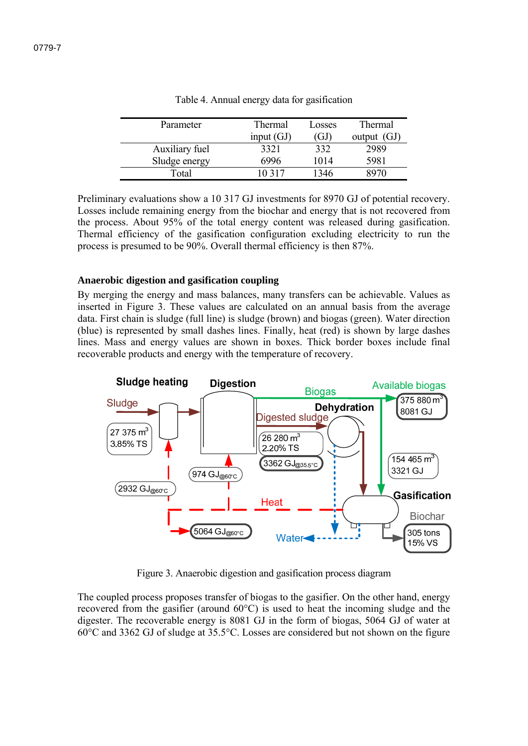| Parameter      | Thermal      | Losses | Thermal       |
|----------------|--------------|--------|---------------|
|                | input $(GJ)$ | GJ     | output $(GJ)$ |
| Auxiliary fuel | 3321         | 332    | 2989          |
| Sludge energy  | 6996         | 1014   | 5981          |
| Total          | 0.317        | 1346   |               |

Table 4. Annual energy data for gasification

Preliminary evaluations show a 10 317 GJ investments for 8970 GJ of potential recovery. Losses include remaining energy from the biochar and energy that is not recovered from the process. About 95% of the total energy content was released during gasification. Thermal efficiency of the gasification configuration excluding electricity to run the process is presumed to be 90%. Overall thermal efficiency is then 87%.

### **Anaerobic digestion and gasification coupling**

By merging the energy and mass balances, many transfers can be achievable. Values as inserted in Figure 3. These values are calculated on an annual basis from the average data. First chain is sludge (full line) is sludge (brown) and biogas (green). Water direction (blue) is represented by small dashes lines. Finally, heat (red) is shown by large dashes lines. Mass and energy values are shown in boxes. Thick border boxes include final recoverable products and energy with the temperature of recovery.



Figure 3. Anaerobic digestion and gasification process diagram

The coupled process proposes transfer of biogas to the gasifier. On the other hand, energy recovered from the gasifier (around 60°C) is used to heat the incoming sludge and the digester. The recoverable energy is 8081 GJ in the form of biogas, 5064 GJ of water at 60°C and 3362 GJ of sludge at 35.5°C. Losses are considered but not shown on the figure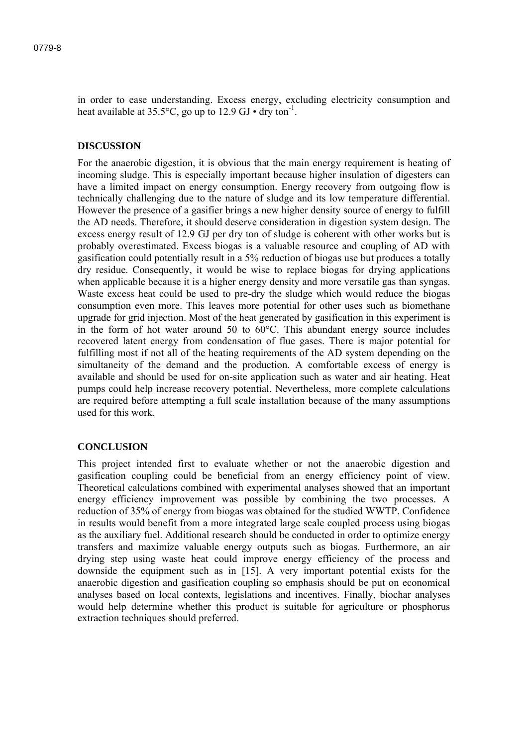in order to ease understanding. Excess energy, excluding electricity consumption and heat available at  $35.5^{\circ}$ C, go up to  $12.9$  GJ • dry ton<sup>-1</sup>.

#### **DISCUSSION**

For the anaerobic digestion, it is obvious that the main energy requirement is heating of incoming sludge. This is especially important because higher insulation of digesters can have a limited impact on energy consumption. Energy recovery from outgoing flow is technically challenging due to the nature of sludge and its low temperature differential. However the presence of a gasifier brings a new higher density source of energy to fulfill the AD needs. Therefore, it should deserve consideration in digestion system design. The excess energy result of 12.9 GJ per dry ton of sludge is coherent with other works but is probably overestimated. Excess biogas is a valuable resource and coupling of AD with gasification could potentially result in a 5% reduction of biogas use but produces a totally dry residue. Consequently, it would be wise to replace biogas for drying applications when applicable because it is a higher energy density and more versatile gas than syngas. Waste excess heat could be used to pre-dry the sludge which would reduce the biogas consumption even more. This leaves more potential for other uses such as biomethane upgrade for grid injection. Most of the heat generated by gasification in this experiment is in the form of hot water around 50 to 60°C. This abundant energy source includes recovered latent energy from condensation of flue gases. There is major potential for fulfilling most if not all of the heating requirements of the AD system depending on the simultaneity of the demand and the production. A comfortable excess of energy is available and should be used for on-site application such as water and air heating. Heat pumps could help increase recovery potential. Nevertheless, more complete calculations are required before attempting a full scale installation because of the many assumptions used for this work.

#### **CONCLUSION**

This project intended first to evaluate whether or not the anaerobic digestion and gasification coupling could be beneficial from an energy efficiency point of view. Theoretical calculations combined with experimental analyses showed that an important energy efficiency improvement was possible by combining the two processes. A reduction of 35% of energy from biogas was obtained for the studied WWTP. Confidence in results would benefit from a more integrated large scale coupled process using biogas as the auxiliary fuel. Additional research should be conducted in order to optimize energy transfers and maximize valuable energy outputs such as biogas. Furthermore, an air drying step using waste heat could improve energy efficiency of the process and downside the equipment such as in [15]. A very important potential exists for the anaerobic digestion and gasification coupling so emphasis should be put on economical analyses based on local contexts, legislations and incentives. Finally, biochar analyses would help determine whether this product is suitable for agriculture or phosphorus extraction techniques should preferred.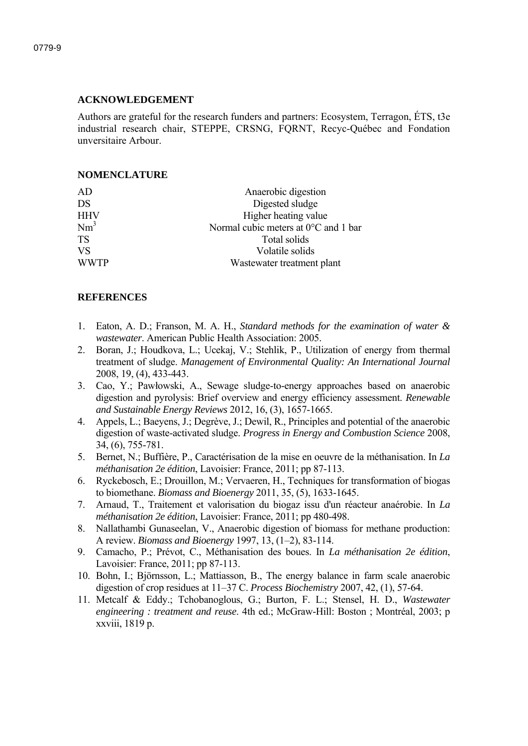# **ACKNOWLEDGEMENT**

Authors are grateful for the research funders and partners: Ecosystem, Terragon, ÉTS, t3e industrial research chair, STEPPE, CRSNG, FQRNT, Recyc-Québec and Fondation unversitaire Arbour.

# **NOMENCLATURE**

| AD          | Anaerobic digestion                  |
|-------------|--------------------------------------|
| DS          | Digested sludge                      |
| <b>HHV</b>  | Higher heating value                 |
| $Nm^3$      | Normal cubic meters at 0°C and 1 bar |
| <b>TS</b>   | Total solids                         |
| <b>VS</b>   | Volatile solids                      |
| <b>WWTP</b> | Wastewater treatment plant           |
|             |                                      |

# **REFERENCES**

- 1. Eaton, A. D.; Franson, M. A. H., *Standard methods for the examination of water & wastewater*. American Public Health Association: 2005.
- 2. Boran, J.; Houdkova, L.; Ucekaj, V.; Stehlik, P., Utilization of energy from thermal treatment of sludge. *Management of Environmental Quality: An International Journal*  2008, 19, (4), 433-443.
- 3. Cao, Y.; Pawłowski, A., Sewage sludge-to-energy approaches based on anaerobic digestion and pyrolysis: Brief overview and energy efficiency assessment. *Renewable and Sustainable Energy Reviews* 2012, 16, (3), 1657-1665.
- 4. Appels, L.; Baeyens, J.; Degrève, J.; Dewil, R., Principles and potential of the anaerobic digestion of waste-activated sludge. *Progress in Energy and Combustion Science* 2008, 34, (6), 755-781.
- 5. Bernet, N.; Buffière, P., Caractérisation de la mise en oeuvre de la méthanisation. In *La méthanisation 2e édition*, Lavoisier: France, 2011; pp 87-113.
- 6. Ryckebosch, E.; Drouillon, M.; Vervaeren, H., Techniques for transformation of biogas to biomethane. *Biomass and Bioenergy* 2011, 35, (5), 1633-1645.
- 7. Arnaud, T., Traitement et valorisation du biogaz issu d'un réacteur anaérobie. In *La méthanisation 2e édition*, Lavoisier: France, 2011; pp 480-498.
- 8. Nallathambi Gunaseelan, V., Anaerobic digestion of biomass for methane production: A review. *Biomass and Bioenergy* 1997, 13, (1–2), 83-114.
- 9. Camacho, P.; Prévot, C., Méthanisation des boues. In *La méthanisation 2e édition*, Lavoisier: France, 2011; pp 87-113.
- 10. Bohn, I.; Björnsson, L.; Mattiasson, B., The energy balance in farm scale anaerobic digestion of crop residues at 11–37 C. *Process Biochemistry* 2007, 42, (1), 57-64.
- 11. Metcalf & Eddy.; Tchobanoglous, G.; Burton, F. L.; Stensel, H. D., *Wastewater engineering : treatment and reuse*. 4th ed.; McGraw-Hill: Boston ; Montréal, 2003; p xxviii, 1819 p.